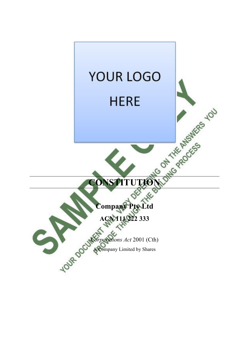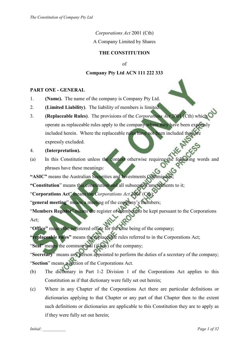*Corporations Act* 2001 (Cth)

A Company Limited by Shares

# **THE CONSTITUTION**

of

# **Company Pty Ltd ACN 111 222 333**

## **PART ONE - GENERAL**

- 1. **(Name).** The name of the company is Company Pty Ltd.
- 2. **(Limited Liability)**. The liability of members is limited.
- 3. **(Replaceable Rules)**. The provisions of the *Corporations Act* 2001 (Cth) which operate as replaceable rules apply to the company where they have been expressly included herein. Where the replaceable rules have not been included they are expressly excluded.
- 4. **(Interpretation).**
- (a) In this Constitution unless the context otherwise requires the following words and phrases have these meanings:
- **"ASIC"** means the Australian Securities and Investments Commission;
- **"Constitution**" means this constitution and all subsequent amendments to it;
- "**Corporations Act**" means the *Corporations Act* 2001 (Cth);
- "**general meeting**" means a meeting of the company's members;

"**Members Register**" means the register of members to be kept pursuant to the Corporations Act;

"**Office"** means the registered office for the time being of the company;

**"replaceable rules"** means the replaceable rules referred to in the Corporations Act;

"**Seal**" means the common seal (if any) of the company;

"**Secretary**" means any person appointed to perform the duties of a secretary of the company; "**Section**" means a section of the Corporations Act.

- (b) The dictionary in Part 1-2 Division 1 of the Corporations Act applies to this Constitution as if that dictionary were fully set out herein;
- (c) Where in any Chapter of the Corporations Act there are particular definitions or dictionaries applying to that Chapter or any part of that Chapter then to the extent such definitions or dictionaries are applicable to this Constitution they are to apply as if they were fully set out herein;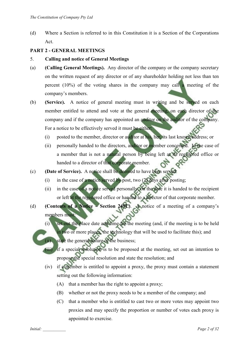(d) Where a Section is referred to in this Constitution it is a Section of the Corporations Act.

## **PART 2 - GENERAL MEETINGS**

- 5. **Calling and notice of General Meetings**
- (a) **(Calling General Meetings).** Any director of the company or the company secretary on the written request of any director or of any shareholder holding not less than ten percent (10%) of the voting shares in the company may call a meeting of the company's members.
- (b) **(Service).** A notice of general meeting must in writing and be served on each member entitled to attend and vote at the general meeting, on each director of the company and if the company has appointed an auditor on the auditor of the company. For a notice to be effectively served it must be either:
	- (i) posted to the member, director or auditor at his, her, its last known address; or
	- (ii) personally handed to the directors, auditor or member concerned. In the case of a member that is not a natural person by being left at its registered office or handed to a director of that corporate member.
- (c) **(Date of Service).** A notice shall be deemed to have been served:
	- (i) in the case of a notice served by post, two  $(2)$  days after posting;
	- (ii) in the case of a notice served personally, on the date it is handed to the recipient or left at the registered office or handed to a director of that corporate member.
- (d) **(Contents of a Notice Section 249L)**. A notice of a meeting of a company's members must:
	- (i) set out the place date and time for the meeting (and, if the meeting is to be held in two or more places, the technology that will be used to facilitate this); and
	- (ii) state the general nature of the business;
	- (iii) if a special resolution is to be proposed at the meeting, set out an intention to propose the special resolution and state the resolution; and
	- (iv) if a member is entitled to appoint a proxy, the proxy must contain a statement setting out the following information:
		- (A) that a member has the right to appoint a proxy;
		- (B) whether or not the proxy needs to be a member of the company; and
		- (C) that a member who is entitled to cast two or more votes may appoint two proxies and may specify the proportion or number of votes each proxy is appointed to exercise.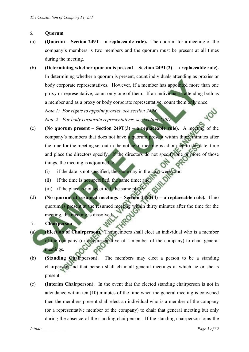#### 6. **Quorum**

- (a) **(Quorum Section 249T a replaceable rule).** The quorum for a meeting of the company's members is two members and the quorum must be present at all times during the meeting.
- (b) **(Determining whether quorum is present – Section 249T(2) a replaceable rule).**  In determining whether a quorum is present, count individuals attending as proxies or body corporate representatives. However, if a member has appointed more than one proxy or representative, count only one of them. If an individual is attending both as a member and as a proxy or body corporate representative, count them only once. *Note 1: For rights to appoint proxies, see section 249X.*

*Note 2: For body corporate representatives, see section 250D.* 

- (c) **(No quorum present – Section 249T(3) a replaceable rule).** A meeting of the company's members that does not have a quorum present within thirty minutes after the time for the meeting set out in the notice of meeting is adjourned to the date, time and place the directors specify. If the directors do not specify one or more of those things, the meeting is adjourned to:
	- (i) if the date is not specified, the same day in the next week; and
	- (ii) if the time is not specified, the same time; and
	- (iii) if the place is not specified, the same place.
- (d) **(No quorum at resumed meetings – Section 249T(4) a replaceable rule).** If no quorum is present at the resumed meeting within thirty minutes after the time for the meeting, the meeting is dissolved.
- 7. **Chairperson**
- (a) **(Election of Chairperson).** The members shall elect an individual who is a member of the company (or a representative of a member of the company) to chair general meetings.
- (b) **(Standing Chairperson).** The members may elect a person to be a standing chairperson and that person shall chair all general meetings at which he or she is present.
- (c) **(Interim Chairperson).** In the event that the elected standing chairperson is not in attendance within ten (10) minutes of the time when the general meeting is convened then the members present shall elect an individual who is a member of the company (or a representative member of the company) to chair that general meeting but only during the absence of the standing chairperson. If the standing chairperson joins the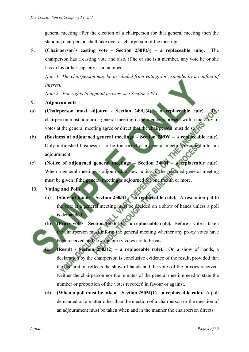general meeting after the election of a chairperson for that general meeting then the standing chairperson shall take over as chairperson of the meeting.

8. **(Chairperson's casting vote – Section 250E(3) – a replaceable rule).** The chairperson has a casting vote and also, if he or she is a member, any vote he or she has in his or her capacity as a member.

*Note 1: The chairperson may be precluded from voting, for example, by a conflict of interest.* 

*Note 2: For rights to appoint proxies, see Section 249X.* 

- 9. **Adjournments**
- (a) **(Chairperson must adjourn Section 249U(4) a replaceable rule).** chairperson must adjourn a general meeting if the members present with a majority of votes at the general meeting agree or direct that the chairperson must do so.
- (b) **(Business at adjourned general meetings Section 249W a replaceable rule).**  Only unfinished business is to be transacted at a general meeting resumed after an adjournment.
- (c) **(Notice of adjourned general meetings Section 249M a replaceable rule).**  When a general meeting is adjourned, a new notice of the resumed general meeting must be given if the general meeting is adjourned for one month or more.
- 10. **Voting and Polls**
	- (a) **(Show of hands Section 250J(1) a replaceable rule).** A resolution put to the vote at a general meeting must be decided on a show of hands unless a poll is demanded.
	- (b) **(Proxy votes Section 250J(1A) a replaceable rule).** Before a vote is taken the chairperson must inform the general meeting whether any proxy votes have been received and how the proxy votes are to be cast.
		- **(Result Section 250J(2) a replaceable rule).** On a show of hands, a declaration by the chairperson is conclusive evidence of the result, provided that the declaration reflects the show of hands and the votes of the proxies received. Neither the chairperson nor the minutes of the general meeting need to state the number or proportion of the votes recorded in favour or against.
	- (d) **(When a poll must be taken Section 250M(1) a replaceable rule).** A poll demanded on a matter other than the election of a chairperson or the question of an adjournment must be taken when and in the manner the chairperson directs.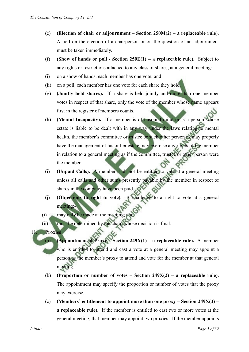- (e) **(Election of chair or adjournment Section 250M(2) a replaceable rule).** A poll on the election of a chairperson or on the question of an adjournment must be taken immediately.
- (f) **(Show of hands or poll Section 250E(1) a replaceable rule).** Subject to any rights or restrictions attached to any class of shares, at a general meeting:
- (i) on a show of hands, each member has one vote; and
- (ii) on a poll, each member has one vote for each share they hold.
- (g) **(Jointly held shares).** If a share is held jointly and more than one member votes in respect of that share, only the vote of the member whose name appears first in the register of members counts.
- (h) **(Mental Incapacity).** If a member is of unsound mind or is a person whose estate is liable to be dealt with in any way under the laws relating to mental health, the member's committee or trustee or such other person as may properly have the management of his or her estate may exercise any rights of the member in relation to a general meeting as if the committee, trustee or other person were the member.
- (i) **(Unpaid Calls).** A member shall not be entitled to vote at a general meeting unless all calls and other sums presently payable by the member in respect of shares in the company have been paid.
- (j) **(Objections to right to vote).** A challenge to a right to vote at a general meeting:-
- (i) may only be made at the meeting; and
- (ii) must be determined by the chair, whose decision is final.

11. **Proxies**

(a) **(Appointment of Proxy – Section 249X(1) – a replaceable rule).** A member who is entitled to attend and cast a vote at a general meeting may appoint a person as the member's proxy to attend and vote for the member at that general meeting.

- (b) **(Proportion or number of votes Section 249X(2) a replaceable rule).** The appointment may specify the proportion or number of votes that the proxy may exercise.
- (c) **(Members' entitlement to appoint more than one proxy Section 249X(3) a replaceable rule).** If the member is entitled to cast two or more votes at the general meeting, that member may appoint two proxies. If the member appoints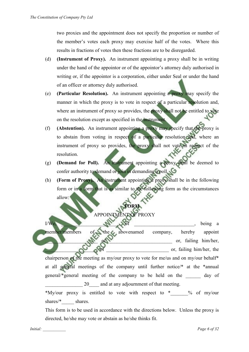two proxies and the appointment does not specify the proportion or number of the member's votes each proxy may exercise half of the votes. Where this results in fractions of votes then these fractions are to be disregarded.

- (d) **(Instrument of Proxy).** An instrument appointing a proxy shall be in writing under the hand of the appointor or of the appointor's attorney duly authorised in writing or, if the appointor is a corporation, either under Seal or under the hand of an officer or attorney duly authorised.
- (e) **(Particular Resolution).** An instrument appointing a proxy may specify the manner in which the proxy is to vote in respect of a particular resolution and, where an instrument of proxy so provides, the proxy shall not be entitled to vote on the resolution except as specified in the instrument.
- (f) **(Abstention).** An instrument appointing a proxy may specify that the proxy is to abstain from voting in respect of a particular resolution and, where an instrument of proxy so provides, the proxy shall not vote in respect of the resolution.
- (g) **(Demand for Poll).** An instrument appointing a proxy shall be deemed to confer authority to demand or join in demanding a poll.
- (h) **(Form of Proxy).** An instrument appointing a proxy shall be in the following form or in a form that is as similar to the following form as the circumstances allow:

**FORM** 

# APPOINTMENT OF PROXY

 $I/We$ ,  $M$ , of  $\Box$  being a member/members of the abovenamed company, hereby appoint or, failing him/her, or, failing him/her, the chairperson of the meeting as my/our proxy to vote for me/us and on my/our behalf\* at all general meetings of the company until further notice/\* at the \*annual general/\*general meeting of the company to be held on the \_\_\_\_\_\_ day of

20 and at any adjournment of that meeting.

\*My/our proxy is entitled to vote with respect to  $*$  % of my/our shares/\* shares.

This form is to be used in accordance with the directions below. Unless the proxy is directed, he/she may vote or abstain as he/she thinks fit.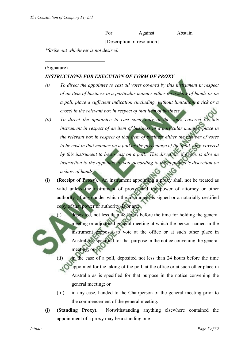For Against Abstain

[Description of resolution]

*\*Strike out whichever is not desired.* 

#### (Signature)

 $\overline{a}$ 

## *INSTRUCTIONS FOR EXECUTION OF FORM OF PROXY*

- *(i) To direct the appointee to cast all votes covered by this instrument in respect of an item of business in a particular manner either on a show of hands or on a poll, place a sufficient indication (including, without limitation, a tick or a cross) in the relevant box in respect of that item of business.*
- *(ii) To direct the appointee to cast some only of the votes covered by this instrument in respect of an item of business in a particular manner, place in the relevant box in respect of that item of business either the number of votes to be cast in that manner on a poll or the percentage of the total votes covered by this instrument to be so cast on a poll. This direction, if given, is also an instruction to the appointee to vote according to the appointee's discretion on a show of hands.*
- (i) **(Receipt of Proxy).** An instrument appointing a proxy shall not be treated as valid unless the instrument of proxy, and the power of attorney or other authority (if any) under which the instrument is signed or a notarially certified copy of that power or authority, is or are:
	- (i) deposited, not less than 48 hours before the time for holding the general meeting or adjourned general meeting at which the person named in the instrument proposes to vote at the office or at such other place in Australia is specified for that purpose in the notice convening the general meeting; or
	- (ii) in the case of a poll, deposited not less than 24 hours before the time appointed for the taking of the poll, at the office or at such other place in Australia as is specified for that purpose in the notice convening the general meeting; or
	- (iii) in any case, handed to the Chairperson of the general meeting prior to the commencement of the general meeting.
- (j) **(Standing Proxy).** Notwithstanding anything elsewhere contained the appointment of a proxy may be a standing one.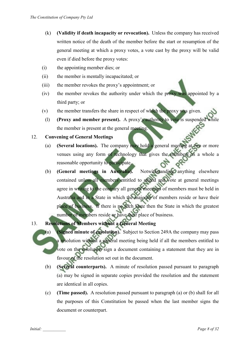- (k) **(Validity if death incapacity or revocation).** Unless the company has received written notice of the death of the member before the start or resumption of the general meeting at which a proxy votes, a vote cast by the proxy will be valid even if died before the proxy votes:
- (i) the appointing member dies; or
- (ii) the member is mentally incapacitated; or
- (iii) the member revokes the proxy's appointment; or
- (iv) the member revokes the authority under which the proxy was appointed by a third party; or
- (v) the member transfers the share in respect of which the proxy was given.
- (l) **(Proxy and member present).** A proxy's authority to vote is suspended while the member is present at the general meeting.

#### 12. **Convening of General Meetings**

- (a) **(Several locations).** The company may hold a general meeting at two or more venues using any form of technology that gives the members as a whole a reasonable opportunity to participate.
- (b) **(General meetings in Australia).** Notwithstanding anything elsewhere contained unless all members entitled to attend and vote at general meetings agree in writing to the contrary all general meetings of members must be held in Australia and in a State in which the majority of members reside or have their place of business. If there is no such State then the State in which the greatest number of members reside or have their place of business.
- 13. **Resolutions of Members without a General Meeting**
	- (a) **(Signed minute of resolution).** Subject to Section 249A the company may pass a resolution without a general meeting being held if all the members entitled to vote on the resolution sign a document containing a statement that they are in favour of the resolution set out in the document.
		- (b) **(Several counterparts).** A minute of resolution passed pursuant to paragraph (a) may be signed in separate copies provided the resolution and the statement are identical in all copies.
		- (c) **(Time passed).** A resolution passed pursuant to paragraph (a) or (b) shall for all the purposes of this Constitution be passed when the last member signs the document or counterpart.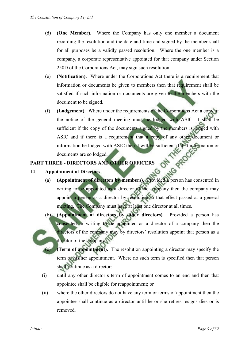- (d) **(One Member).** Where the Company has only one member a document recording the resolution and the date and time and signed by the member shall for all purposes be a validly passed resolution. Where the one member is a company, a corporate representative appointed for that company under Section 250D of the Corporations Act, may sign such resolution.
- (e) **(Notification).** Where under the Corporations Act there is a requirement that information or documents be given to members then that requirement shall be satisfied if such information or documents are given to the members with the document to be signed.
- (f) **(Lodgement).** Where under the requirements of the Corporations Act a copy of the notice of the general meeting must be lodged with ASIC, it shall be sufficient if the copy of the documents signed by the members is lodged with ASIC and if there is a requirement that a copy of any other document or information be lodged with ASIC then it will be sufficient if that information or ONT documents are so lodged.

# **PART THREE - DIRECTORS AND OTHER OFFICERS**

## 14. **Appointment of Directors**

- Appointment of Directors<br>(a) (Appointment of directors by members). Provided a person has consented in writing to be appointed as a director of the company then the company may appoint a person as a director by resolution to that effect passed at a general meeting. The Company must have at least one director at all times.
- (b) **(Appointment of directors by other directors).** Provided a person has consented in writing to be appointed as a director of a company then the directors of the company may by directors' resolution appoint that person as a director of the company.
	- (Term of appointment). The resolution appointing a director may specify the term of his/her appointment. Where no such term is specified then that person shall continue as a director:-
- (i) until any other director's term of appointment comes to an end and then that appointee shall be eligible for reappointment; or
- (ii) where the other directors do not have any term or terms of appointment then the appointee shall continue as a director until he or she retires resigns dies or is removed.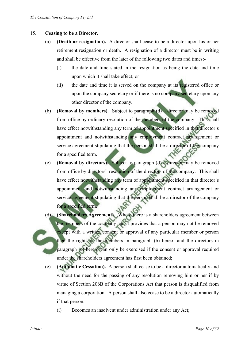#### 15. **Ceasing to be a Director.**

- (a) **(Death or resignation).** A director shall cease to be a director upon his or her retirement resignation or death. A resignation of a director must be in writing and shall be effective from the later of the following two dates and times:-
	- (i) the date and time stated in the resignation as being the date and time upon which it shall take effect; or
	- (ii) the date and time it is served on the company at its registered office or upon the company secretary or if there is no company secretary upon any other director of the company.
- (b) **(Removal by members).** Subject to paragraph (d) a director may be removed from office by ordinary resolution of the members of the company. This shall have effect notwithstanding any term of appointment specified in that director's appointment and notwithstanding any employment contract arrangement or service agreement stipulating that the person shall be a director of the company for a specified term.
- (c) **(Removal by directors).** Subject to paragraph (d) a director may be removed from office by directors" resolution of the directors of the company. This shall have effect notwithstanding any term of appointment specified in that director's appointment and notwithstanding any employment contract arrangement or service agreement stipulating that the person shall be a director of the company for a specified term.
- (d) **(Shareholders Agreement).** Where there is a shareholders agreement between the members of the company and it provides that a person may not be removed except with a written consent or approval of any particular member or person then the rights of the members in paragraph (b) hereof and the directors in paragraph (c) hereof can only be exercised if the consent or approval required under the shareholders agreement has first been obtained;
	- (e) **(Automatic Cessation).** A person shall cease to be a director automatically and without the need for the passing of any resolution removing him or her if by virtue of Section 206B of the Corporations Act that person is disqualified from managing a corporation. A person shall also cease to be a director automatically if that person:
		- (i) Becomes an insolvent under administration under any Act;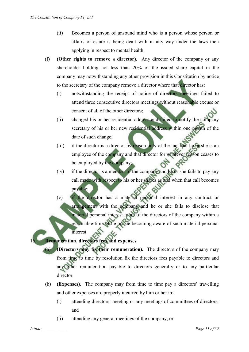- (ii) Becomes a person of unsound mind who is a person whose person or affairs or estate is being dealt with in any way under the laws then applying in respect to mental health.
- (f) **(Other rights to remove a director)**. Any director of the company or any shareholder holding not less than 20% of the issued share capital in the company may notwithstanding any other provision in this Constitution by notice to the secretary of the company remove a director where that director has:
	- (i) notwithstanding the receipt of notice of directors meetings failed to attend three consecutive directors meetings without reasonable excuse or consent of all of the other directors;
	- (ii) changed his or her residential address and failed to notify the company secretary of his or her new residential address within one month of the date of such change;
	- (iii) if the director is a director by reason only of the fact that he or she is an employee of the company and that director for whatever reason ceases to be employed by the company;
	- (iv) if the director is a member of the company and he or she fails to pay any call made with respect to his or her shares as and when that call becomes payable;
	- (v) if the director has a material personal interest in any contract or arrangement with the company and he or she fails to disclose that material personal interest to all of the directors of the company within a reasonable time of he or she becoming aware of such material personal interest.

# 16. **Remuneration, directors fees and expenses**

- **(Directors may fix their remuneration).** The directors of the company may from time to time by resolution fix the directors fees payable to directors and any other remuneration payable to directors generally or to any particular director.
- (b) **(Expenses)**. The company may from time to time pay a directors' travelling and other expenses are properly incurred by him or her in:
	- (i) attending directors' meeting or any meetings of committees of directors; and
	- (ii) attending any general meetings of the company; or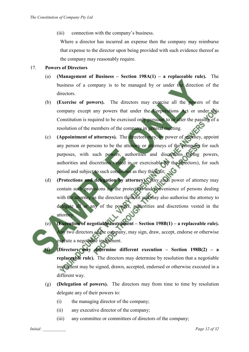(iii) connection with the company's business.

Where a director has incurred an expense then the company may reimburse that expense to the director upon being provided with such evidence thereof as the company may reasonably require.

#### 17. **Powers of Directors**

- (a) **(Management of Business Section 198A(1) a replaceable rule).** The business of a company is to be managed by or under the direction of the directors.
- (b) **(Exercise of powers).** The directors may exercise all the powers of the company except any powers that under the Corporations Act or under this Constitution is required to be exercised only pursuant to or after the passing of a resolution of the members of the company in general meeting.
- (c) **(Appointment of attorneys).** The directors may, by power of attorney, appoint any person or persons to be the attorney or attorneys of the company for such purposes, with such powers, authorities and discretions (being powers, authorities and discretions vested in or exercisable by the directors), for such period and subject to such conditions as they think fit;
- (d) **(Protections and delegation by attorney).** Any such power of attorney may contain such provisions for the protection and convenience of persons dealing with the attorney as the directors think fit and may also authorise the attorney to delegate all or any of the powers, authorities and discretions vested in the attorney.
- (Execution of negotiable instrument Section 198B(1) a replaceable rule). Any two directors of the company, may sign, draw, accept, endorse or otherwise execute a negotiable instrument.
	- (f) **(Directors may determine different execution Section 198B(2) a replaceable rule).** The directors may determine by resolution that a negotiable instrument may be signed, drawn, accepted, endorsed or otherwise executed in a different way.
- (g) **(Delegation of powers).** The directors may from time to time by resolution delegate any of their powers to:
	- (i) the managing director of the company;
	- (ii) any executive director of the company;
	- (iii) any committee or committees of directors of the company;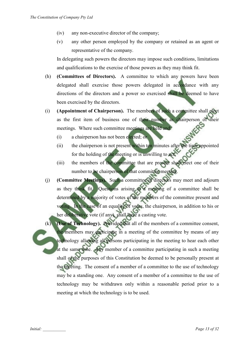- (iv) any non-executive director of the company;
- (v) any other person employed by the company or retained as an agent or representative of the company.

In delegating such powers the directors may impose such conditions, limitations and qualifications to the exercise of those powers as they may think fit.

- (h) **(Committees of Directors).** A committee to which any powers have been delegated shall exercise those powers delegated in accordance with any directions of the directors and a power so exercised shall be deemed to have been exercised by the directors.
- (i) **(Appointment of Chairperson).** The members of such a committee shall elect as the first item of business one of their number as chairperson of their meetings. Where such committee meetings are held and:
	- (i) a chairperson has not been elected; or
	- (ii) the chairperson is not present within ten minutes after the time appointed for the holding of the meeting or is unwilling to act;
	- (iii) the members of the committee that are present shall elect one of their number to be chairperson of that committee meeting.
- (j) **(Committee Meetings).** Such a committee of directors may meet and adjourn as they think fit. Questions arising at a meeting of a committee shall be determined by a majority of votes of the members of the committee present and voting. In the case of an equality of votes, the chairperson, in addition to his or her deliberative vote (if any), shall have a casting vote.
- (Use of Technology). Provided that all of the members of a committee consent, the members may participate in a meeting of the committee by means of any technology allowing all persons participating in the meeting to hear each other at the same time. Any member of a committee participating in such a meeting shall of the purposes of this Constitution be deemed to be personally present at the meeting. The consent of a member of a committee to the use of technology may be a standing one. Any consent of a member of a committee to the use of technology may be withdrawn only within a reasonable period prior to a meeting at which the technology is to be used.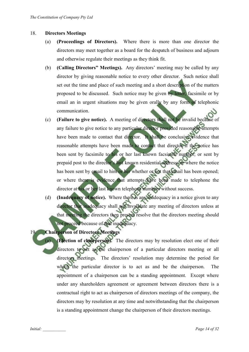#### 18. **Directors Meetings**

- (a) **(Proceedings of Directors).** Where there is more than one director the directors may meet together as a board for the despatch of business and adjourn and otherwise regulate their meetings as they think fit.
- (b) **(Calling Directors" Meetings).** Any directors' meeting may be called by any director by giving reasonable notice to every other director. Such notice shall set out the time and place of such meeting and a short description of the matters proposed to be discussed. Such notice may be given by letter, facsimile or by email an in urgent situations may be given orally by any form of telephonic communication.
- (c) **(Failure to give notice).** A meeting of directors shall not be invalid because of any failure to give notice to any particular director provided reasonable attempts have been made to contact that director. It shall be conclusive evidence that reasonable attempts have been made to contact that director if the notice has been sent by facsimile to his or her last known facsimile number; or sent by prepaid post to the director's last known residential address; or where the notice has been sent by email to him or her whether or not that email has been opened; or where there is evidence that attempts have been made to telephone the director at his or her last known telephone numbers without success.
- (d) **(Inadequacy of notice).** Where there is any inadequacy in a notice given to any director that inadequacy shall not invalidate any meeting of directors unless at that meeting the directors then present resolve that the directors meeting should not proceed because of that inadequacy.

# 19. **Chairperson of Directors Meetings**

(Election of chairperson). The directors may by resolution elect one of their directors to act as the chairperson of a particular directors meeting or all directors meetings. The directors' resolution may determine the period for which the particular director is to act as and be the chairperson. The appointment of a chairperson can be a standing appointment. Except where under any shareholders agreement or agreement between directors there is a contractual right to act as chairperson of directors meetings of the company, the directors may by resolution at any time and notwithstanding that the chairperson is a standing appointment change the chairperson of their directors meetings.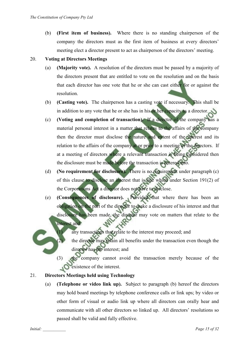(b) **(First item of business).** Where there is no standing chairperson of the company the directors must as the first item of business at every directors' meeting elect a director present to act as chairperson of the directors' meeting.

## 20. **Voting at Directors Meetings**

- (a) **(Majority vote).** A resolution of the directors must be passed by a majority of the directors present that are entitled to vote on the resolution and on the basis that each director has one vote that he or she can cast either for or against the resolution.
- (b) **(Casting vote).** The chairperson has a casting vote if necessary. This shall be in addition to any vote that he or she has in his or her capacity as a director.
- (c) **(Voting and completion of transaction).** If a director of the company has a material personal interest in a matter that relates to the affairs of the company then the director must disclose the nature and extent of the interest and its relation to the affairs of the company at or prior to a meeting of the directors. If at a meeting of directors where a relevant transaction is being considered then the disclosure must be made before the transaction is entered into.
- (d) **(No requirement for disclosure).** There is no requirement under paragraph (c) of this clause to disclose an interest that is one which under Section 191(2) of the Corporations Act a director does not have to disclose.
- (e) **(Consequences of disclosure).** Provided that where there has been an obligation on the part of the director to make a disclosure of his interest and that disclosure has been made, the director may vote on matters that relate to the interest and:
	- any transactions that relate to the interest may proceed; and
	- (2) the director may retain all benefits under the transaction even though the director has the interest; and
	- (3) the company cannot avoid the transaction merely because of the existence of the interest.

# 21. **Directors Meetings held using Technology**

(a) **(Telephone or video link up).** Subject to paragraph (b) hereof the directors may hold board meetings by telephone conference calls or link ups; by video or other form of visual or audio link up where all directors can orally hear and communicate with all other directors so linked up. All directors' resolutions so passed shall be valid and fully effective.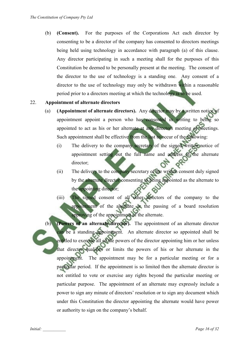(b) **(Consent).** For the purposes of the Corporations Act each director by consenting to be a director of the company has consented to directors meetings being held using technology in accordance with paragraph (a) of this clause. Any director participating in such a meeting shall for the purposes of this Constitution be deemed to be personally present at the meeting. The consent of the director to the use of technology is a standing one. Any consent of a director to the use of technology may only be withdrawn within a reasonable period prior to a directors meeting at which the technology is to be used.

#### 22. **Appointment of alternate directors**

- (a) **(Appointment of alternate directors).** Any director may by a written notice of appointment appoint a person who has consented in writing to being so appointed to act as his or her alternate at any directors meeting or meetings. Such appointment shall be effective from the last to occur of the following:
	- (i) The delivery to the company secretary of the signed written notice of appointment setting out the full name and address of the alternate director;
	- (ii) The delivery to the company secretary of the written consent duly signed by the alternate director consenting to being appointed as the alternate to the appointing director;
	- (iii) The signed consent of all other directors of the company to the appointment of the alternate or the passing of a board resolution approving of the appointment of the alternate.
- (Powers of an alternate director). The appointment of an alternate director can be a standing appointment. An alternate director so appointed shall be entitled to exercise all of the powers of the director appointing him or her unless that director qualifies or limits the powers of his or her alternate in the appointment. The appointment may be for a particular meeting or for a particular period. If the appointment is so limited then the alternate director is not entitled to vote or exercise any rights beyond the particular meeting or particular purpose. The appointment of an alternate may expressly include a power to sign any minute of directors' resolution or to sign any document which under this Constitution the director appointing the alternate would have power or authority to sign on the company's behalf.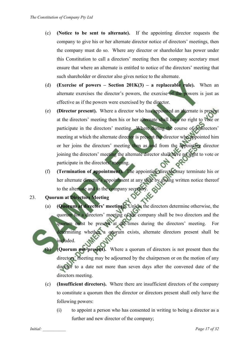- (c) **(Notice to be sent to alternate).** If the appointing director requests the company to give his or her alternate director notice of directors' meetings, then the company must do so. Where any director or shareholder has power under this Constitution to call a directors' meeting then the company secretary must ensure that where an alternate is entitled to notice of the directors' meeting that such shareholder or director also gives notice to the alternate.
- (d) **(Exercise of powers Section 201K(3) a replaceable rule).** When an alternate exercises the director's powers, the exercise of the powers is just as effective as if the powers were exercised by the director.
- (e) **(Director present).** Where a director who has appointed an alternate is present at the directors' meeting then his or her alternate shall have no right to vote or participate in the directors' meeting. Where during the course of a directors' meeting at which the alternate director is present the director who appointed him or her joins the directors' meeting then as and from the appointing director joining the directors' meeting the alternate director shall have no right to vote or participate in the directors' meeting.
- (f) **(Termination of appointment).** The appointing director may terminate his or her alternate director's appointment at any time by giving written notice thereof to the alternate and to the company secretary.

# 23. **Quorum at Directors Meeting**

- (a) **(Quorum at directors' meeting).** Unless the directors determine otherwise, the quorum for a directors' meeting of the company shall be two directors and the quorum must be present at all times during the directors' meeting. For determining whether a quorum exists, alternate directors present shall be included.
	- **(Ouorum not present).** Where a quorum of directors is not present then the directors' meeting may be adjourned by the chairperson or on the motion of any director to a date not more than seven days after the convened date of the directors meeting.
- (c) **(Insufficient directors).** Where there are insufficient directors of the company to constitute a quorum then the director or directors present shall only have the following powers:
	- (i) to appoint a person who has consented in writing to being a director as a further and new director of the company;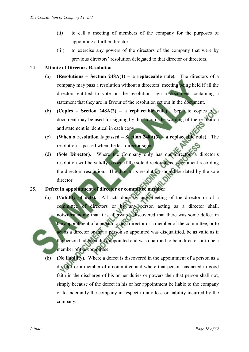- (ii) to call a meeting of members of the company for the purposes of appointing a further director;
- (iii) to exercise any powers of the directors of the company that were by previous directors' resolution delegated to that director or directors.

#### 24. **Minute of Directors Resolution**

- (a) **(Resolutions Section 248A(1) a replaceable rule).** The directors of a company may pass a resolution without a directors' meeting being held if all the directors entitled to vote on the resolution sign a document containing a statement that they are in favour of the resolution set out in the document.
- (b) **(Copies Section 248A(2) a replaceable rule).** Separate copies of a document may be used for signing by directors if the wording of the resolution and statement is identical in each copy.
- (c) **(When a resolution is passed Section 248A(3) a replaceable rule).** The resolution is passed when the last director signs.
- (d) **(Sole Director).** Where the Company only has one director, a director's resolution will be validly passed if the sole director signs a document recording the directors resolution. The director's resolution should be dated by the sole director.

# 25. **Defect in appointment of director or committee member**

- (a) **(Validity of acts).** All acts done by any meeting of the director or of a committee of directors or by any person acting as a director shall, notwithstanding that it is afterwards discovered that there was some defect in the appointment of a person to be a director or a member of the committee, or to act as a director or that a person so appointed was disqualified, be as valid as if the person had been duly appointed and was qualified to be a director or to be a member of the committee.
	- (b) **(No liability).** Where a defect is discovered in the appointment of a person as a director or a member of a committee and where that person has acted in good faith in the discharge of his or her duties or powers then that person shall not, simply because of the defect in his or her appointment be liable to the company or to indemnify the company in respect to any loss or liability incurred by the company.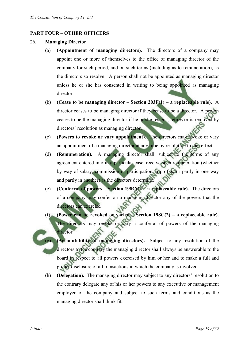# **PART FOUR – OTHER OFFICERS**

#### 26. **Managing Director**

- (a) **(Appointment of managing directors).** The directors of a company may appoint one or more of themselves to the office of managing director of the company for such period, and on such terms (including as to remuneration), as the directors so resolve. A person shall not be appointed as managing director unless he or she has consented in writing to being appointed as managing director.
- (b) **(Cease to be managing director Section 203F(1) a replaceable rule).** A director ceases to be managing director if they cease to be a director. A person ceases to be the managing director if he or she resigns, retires or is removed by directors' resolution as managing director.
- (c) **(Powers to revoke or vary appointment).** The directors may revoke or vary an appointment of a managing director at any time by resolution to that effect.
- (d) **(Remuneration).** A managing director shall, subject to the terms of any agreement entered into in a particular case, receive such remuneration (whether by way of salary, commission or participation in profits, or partly in one way and partly in another) as the directors determine.
- (e) **(Conferral of powers Section 198C(1) a replaceable rule).** The directors of a company may confer on a managing director any of the powers that the directors can exercise.
- (f) **(Power can be revoked or varied Section 198C(2) a replaceable rule).**  The directors may revoke or vary a conferral of powers of the managing director.
	- (Accountability of managing directors). Subject to any resolution of the directors to the contrary the managing director shall always be answerable to the board in respect to all powers exercised by him or her and to make a full and proper disclosure of all transactions in which the company is involved.
- (h) **(Delegation).** The managing director may subject to any directors' resolution to the contrary delegate any of his or her powers to any executive or management employee of the company and subject to such terms and conditions as the managing director shall think fit.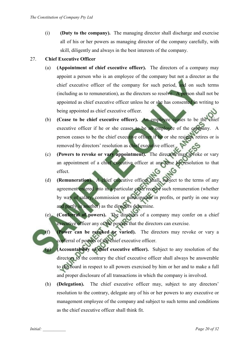(i) **(Duty to the company).** The managing director shall discharge and exercise all of his or her powers as managing director of the company carefully, with skill, diligently and always in the best interests of the company.

## 27. **Chief Executive Officer**

- (a) **(Appointment of chief executive officer).** The directors of a company may appoint a person who is an employee of the company but not a director as the chief executive officer of the company for such period, and on such terms (including as to remuneration), as the directors so resolve. A person shall not be appointed as chief executive officer unless he or she has consented in writing to being appointed as chief executive officer.
- (b) **(Cease to be chief executive officer).** An employee ceases to be the chief executive officer if he or she ceases to be an employee of the company. A person ceases to be the chief executive officer if he or she resigns, retires or is removed by directors' resolution as chief executive officer.
- (c) **(Powers to revoke or vary appointment).** The directors may revoke or vary an appointment of a chief executive officer at any time by resolution to that effect.
- (d) **(Remuneration).** A chief executive officer shall, subject to the terms of any agreement entered into in a particular case, receive such remuneration (whether by way of salary, commission or participation in profits, or partly in one way and partly in another) as the directors determine.
- (e) **(Conferral of powers).** The directors of a company may confer on a chief executive officer any of the powers that the directors can exercise.
- (f) **(Power can be revoked or varied).** The directors may revoke or vary a conferral of powers of the chief executive officer.
	- (**Accountability of chief executive officer**). Subject to any resolution of the directors to the contrary the chief executive officer shall always be answerable to the board in respect to all powers exercised by him or her and to make a full and proper disclosure of all transactions in which the company is involved.
- (h) **(Delegation).** The chief executive officer may, subject to any directors' resolution to the contrary, delegate any of his or her powers to any executive or management employee of the company and subject to such terms and conditions as the chief executive officer shall think fit.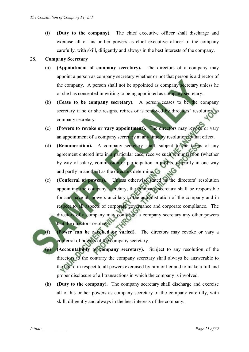(i) **(Duty to the company).** The chief executive officer shall discharge and exercise all of his or her powers as chief executive officer of the company carefully, with skill, diligently and always in the best interests of the company.

## 28. **Company Secretary**

- (a) **(Appointment of company secretary).** The directors of a company may appoint a person as company secretary whether or not that person is a director of the company. A person shall not be appointed as company secretary unless he or she has consented in writing to being appointed as company secretary.
- (b) **(Cease to be company secretary).** A person ceases to be the company secretary if he or she resigns, retires or is removed by directors' resolution as company secretary.
- (c) **(Powers to revoke or vary appointment).** The directors may revoke or vary an appointment of a company secretary at any time by resolution to that effect.
- (d) **(Remuneration).** A company secretary shall, subject to the terms of any agreement entered into in a particular case, receive such remuneration (whether by way of salary, commission or participation in profits, or partly in one way and partly in another) as the directors determine.
- (e) **(Conferral of powers).** Unless otherwise stated in the directors' resolution appointing the company secretary, the company secretary shall be responsible for and have all powers ancillary to the administration of the company and in respect to all aspects of corporate governance and corporate compliance. The directors of a company may confer on a company secretary any other powers that the directors resolve.
- (f) **(Power can be revoked or varied).** The directors may revoke or vary a conferral of powers of the company secretary.
	- **(Accountability of company secretary).** Subject to any resolution of the directors to the contrary the company secretary shall always be answerable to the board in respect to all powers exercised by him or her and to make a full and proper disclosure of all transactions in which the company is involved.
- (h) **(Duty to the company).** The company secretary shall discharge and exercise all of his or her powers as company secretary of the company carefully, with skill, diligently and always in the best interests of the company.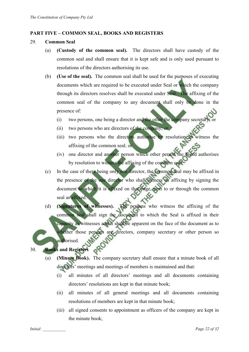#### **PART FIVE – COMMON SEAL, BOOKS AND REGISTERS**

- 29. **Common Seal**
	- (a) **(Custody of the common seal).** The directors shall have custody of the common seal and shall ensure that it is kept safe and is only used pursuant to resolutions of the directors authorising its use.
	- (b) **(Use of the seal).** The common seal shall be used for the purposes of executing documents which are required to be executed under Seal or which the company through its directors resolves shall be executed under Seal. The affixing of the common seal of the company to any document shall only be done in the presence of:
		- (i) two persons, one being a director and the other the company secretary; or
		- (ii) two persons who are directors of the company; or
		- (iii) two persons who the directors authorise by resolution to witness the affixing of the common seal; or
		- (iv) one director and another person which other person the board authorises by resolution to witness the affixing of the common seal.
	- (c) In the case of there being only one director, the common seal may be affixed in the presence of the one director who shall witness its affixing by signing the document to which it is affixed on that page, next to or through the common seal as affixed.
	- (d) **(Signatures of witnesses).** The persons who witness the affixing of the common seal shall sign the document to which the Seal is affixed in their capacity as witnesses and it shall be apparent on the face of the document as to whether those persons are directors, company secretary or other person so authorised.

30. **Books and Registers**

- (a) **(Minute Book).** The company secretary shall ensure that a minute book of all directors' meetings and meetings of members is maintained and that:
	- (i) all minutes of all directors' meetings and all documents containing directors' resolutions are kept in that minute book;
	- (ii) all minutes of all general meetings and all documents containing resolutions of members are kept in that minute book;
	- (iii) all signed consents to appointment as officers of the company are kept in the minute book;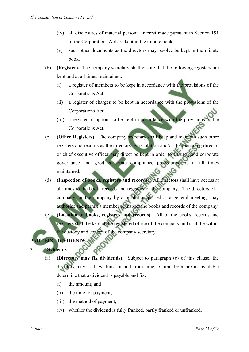- (iv) all disclosures of material personal interest made pursuant to Section 191 of the Corporations Act are kept in the minute book;
- (v) such other documents as the directors may resolve be kept in the minute book.
- (b) **(Register).** The company secretary shall ensure that the following registers are kept and at all times maintained:
	- (i) a register of members to be kept in accordance with the provisions of the Corporations Act;
	- (ii) a register of charges to be kept in accordance with the provisions of the Corporations Act;
	- (iii) a register of options to be kept in accordance with the provisions of the Corporations Act.
- (c) **(Other Registers).** The company secretary shall keep and maintain such other registers and records as the directors by resolution and/or the managing director or chief executive officer may direct be kept in order to ensure good corporate governance and good corporate compliance procedures are at all times maintained.
- (d) **(Inspection of books, registers and records).** All directors shall have access at all times to the book, records and registers of the company. The directors of a company, or the company by a resolution passed at a general meeting, may authorise and permit a member to inspect the books and records of the company. (e) **(Location of books, registers and records).** All of the books, records and registers shall be kept at the registered office of the company and shall be within the custody and control of the company secretary.

# **SIX - DIVIDENDS**

31. **Dividends**

- (a) **(Directors may fix dividends)**. Subject to paragraph (c) of this clause, the directors may as they think fit and from time to time from profits available determine that a dividend is payable and fix:
	- (i) the amount; and
	- (ii) the time for payment;
	- (iii) the method of payment;
	- (iv) whether the dividend is fully franked, partly franked or unfranked.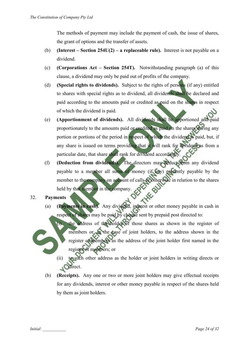The methods of payment may include the payment of cash, the issue of shares, the grant of options and the transfer of assets.

- (b) **(Interest Section 254U(2) a replaceable rule).** Interest is not payable on a dividend.
- (c) **(Corporations Act Section 254T).** Notwithstanding paragraph (a) of this clause, a dividend may only be paid out of profits of the company.
- (d) **(Special rights to dividends).** Subject to the rights of persons (if any) entitled to shares with special rights as to dividend, all dividends shall be declared and paid according to the amounts paid or credited as paid on the shares in respect of which the dividend is paid.
- (e) **(Apportionment of dividends).** All dividends shall be apportioned and paid proportionately to the amounts paid or credited as paid on the shares during any portion or portions of the period in respect of which the dividend is paid, but, if any share is issued on terms providing that it will rank for dividend as from a particular date, that share shall rank for dividend accordingly.
- (f) **(Deduction from dividends).** The directors may deduct from any dividend payable to a member all sums of money (if any) presently payable by the member to the company on account of calls or otherwise in relation to the shares held by that member in the company.

#### 32. **Payments**

(a) **(Payments in cash).** Any dividend, interest or other money payable in cash in respect of shares may be paid by cheque sent by prepaid post directed to:

the address of the holder of those shares as shown in the register of members or, in the case of joint holders, to the address shown in the register of members as the address of the joint holder first named in the register of members; or

- (ii) to such other address as the holder or joint holders in writing directs or **C**direct.
- (b) **(Receipts).** Any one or two or more joint holders may give effectual receipts for any dividends, interest or other money payable in respect of the shares held by them as joint holders.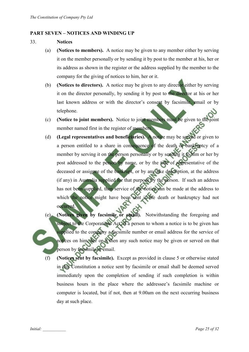#### **PART SEVEN – NOTICES AND WINDING UP**

- 33. **Notices**
	- (a) **(Notices to members).** A notice may be given to any member either by serving it on the member personally or by sending it by post to the member at his, her or its address as shown in the register or the address supplied by the member to the company for the giving of notices to him, her or it.
	- (b) **(Notices to directors).** A notice may be given to any director either by serving it on the director personally, by sending it by post to the director at his or her last known address or with the director's consent by facsimile, email or by telephone.
	- (c) **(Notice to joint members).** Notice to joint members must be given to the joint member named first in the register of members.
	- (d) **(Legal representatives and beneficiaries).** A notice may be served or given to a person entitled to a share in consequence of the death or bankruptcy of a member by serving it on the person personally or by sending it to him or her by post addressed to the person by name, or by the title of representative of the deceased or assignee of the bankrupt, or by any like description, at the address (if any) in Australia supplied for that purpose by the person. If such an address has not been supplied, then service of the notice can be made at the address to which the notice might have been sent if the death or bankruptcy had not occurred.
	- (e) **(Notices given by facsimile or email).** Notwithstanding the foregoing and subject to the Corporations Act, if a person to whom a notice is to be given has supplied to the company a facsimile number or email address for the service of notices on him, her or it then any such notice may be given or served on that person by facsimile or email.
		- (f) **(Notices sent by facsimile).** Except as provided in clause 5 or otherwise stated in this Constitution a notice sent by facsimile or email shall be deemed served immediately upon the completion of sending if such completion is within business hours in the place where the addressee's facsimile machine or computer is located, but if not, then at 9.00am on the next occurring business day at such place.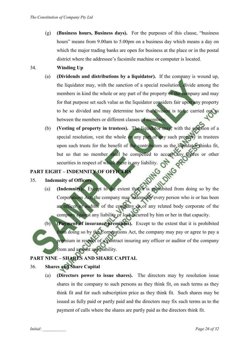(g) **(Business hours, Business days).** For the purposes of this clause, "business hours" means from 9.00am to 5.00pm on a business day which means a day on which the major trading banks are open for business at the place or in the postal district where the addressee's facsimile machine or computer is located.

## 34. **Winding Up**

- (a) **(Dividends and distributions by a liquidator).** If the company is wound up, the liquidator may, with the sanction of a special resolution, divide among the members in kind the whole or any part of the property of the company and may for that purpose set such value as the liquidator considers fair upon any property to be so divided and may determine how the division is to be carried out as between the members or different classes of members;
- (b) **(Vesting of property in trustees).** The liquidator may, with the sanction of a special resolution, vest the whole or any part of any such property in trustees upon such trusts for the benefit of the contributors as the liquidator thinks fit, but so that no member shall be compelled to accept any shares or other OTHIS PR securities in respect of which there is any liability.<br>
HT – INDEMNITY OF OFFICERS

# **PART EIGHT – INDEMNITY OF OFFICERS**

#### 35. **Indemnity of Officers**

- (a) **(Indemnity).** Except to the extent that it is prohibited from doing so by the Corporations Act, the company may indemnify every person who is or has been an officer or auditor of the company or of any related body corporate of the company against any liability or loss incurred by him or her in that capacity.
- (b) **(Payment of insurance premiums).** Except to the extent that it is prohibited from doing so by the Corporations Act, the company may pay or agree to pay a premium in respect of a contract insuring any officer or auditor of the company from and against any liability.

# **PART NINE – SHARES AND SHARE CAPITAL**

# 36. **Shares and Share Capital**

(a) **(Directors power to issue shares).** The directors may by resolution issue shares in the company to such persons as they think fit, on such terms as they think fit and for such subscription price as they think fit. Such shares may be issued as fully paid or partly paid and the directors may fix such terms as to the payment of calls where the shares are partly paid as the directors think fit.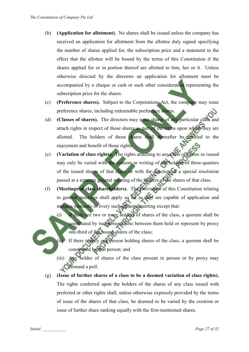- (b) **(Application for allotment).** No shares shall be issued unless the company has received an application for allotment from the allottee duly signed specifying the number of shares applied for, the subscription price and a statement to the effect that the allottee will be bound by the terms of this Constitution if the shares applied for or in portion thereof are allotted to him, her or it. Unless otherwise directed by the directors an application for allotment must be accompanied by a cheque or cash or such other consideration representing the subscription price for the shares.
- (c) **(Preference shares).** Subject to the Corporations Act, the company may issue preference shares, including redeemable preference shares.
- (d) **(Classes of shares).** The directors may issue shares of any particular class and attach rights in respect of those shares as part of the terms upon which they are allotted. The holders of those shares shall thereafter be entitled to the enjoyment and benefit of those rights.
- (e) **(Variation of class rights).** The rights attaching to any class of shares so issued may only be varied with the consent in writing of the holders of three-quarters of the issued shares of that class, or with the sanction of a special resolution passed at a separate general meeting of the holders of the shares of that class.
- (f) **(Meetings of class shareholders).** The provisions of this Constitution relating to general meetings shall apply so far as they are capable of application and mutatus mutandis to every such separate meeting except that:
	- (i) If there are two or more holders of shares of the class, a quorum shall be constituted by two persons who between them hold or represent by proxy one-third of the issued shares of the class;
	- (ii) If there is only one person holding shares of the class, a quorum shall be constituted by that person; and
	- (iii) Any holder of shares of the class present in person or by proxy may demand a poll.
- (g) **(Issue of further shares of a class to be a deemed variation of class rights).**  The rights conferred upon the holders of the shares of any class issued with preferred or other rights shall, unless otherwise expressly provided by the terms of issue of the shares of that class, be deemed to be varied by the creation or issue of further share ranking equally with the first-mentioned shares.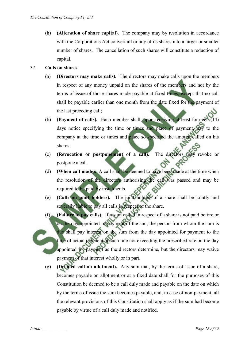(h) **(Alteration of share capital).** The company may by resolution in accordance with the Corporations Act convert all or any of its shares into a larger or smaller number of shares. The cancellation of such shares will constitute a reduction of capital.

#### 37. **Calls on shares**

- (a) **(Directors may make calls).** The directors may make calls upon the members in respect of any money unpaid on the shares of the members and not by the terms of issue of those shares made payable at fixed times, except that no call shall be payable earlier than one month from the date fixed for the payment of the last preceding call;
- (b) **(Payment of calls).** Each member shall, upon receiving at least fourteen (14) days notice specifying the time or times and place of payment, pay to the company at the time or times and place so specified the amount called on his shares;
- (c) **(Revocation or postponement of a call).** The directors may revoke or postpone a call.
- (d) **(When call made).** A call shall be deemed to have been made at the time when the resolution of the directors authorising the call was passed and may be required to be paid by instalments.
- (e) **(Calls on joint holders).** The joint holders of a share shall be jointly and severally liable to pay all calls in respect of the share.
- (f) **(Failure to pay calls).** If a sum called in respect of a share is not paid before or on the day appointed of payment of the sun, the person from whom the sum is due shall pay interest on the sum from the day appointed for payment to the time of actual payment at such rate not exceeding the prescribed rate on the day appointed for payment as the directors determine, but the directors may waive payment of that interest wholly or in part.
	- (g) **(Deemed call on allotment).** Any sum that, by the terms of issue of a share, becomes payable on allotment or at a fixed date shall for the purposes of this Constitution be deemed to be a call duly made and payable on the date on which by the terms of issue the sum becomes payable, and, in case of non-payment, all the relevant provisions of this Constitution shall apply as if the sum had become payable by virtue of a call duly made and notified.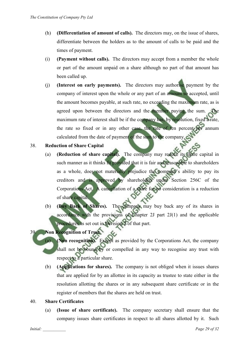- (h) **(Differentiation of amount of calls).** The directors may, on the issue of shares, differentiate between the holders as to the amount of calls to be paid and the times of payment.
- (i) **(Payment without calls).** The directors may accept from a member the whole or part of the amount unpaid on a share although no part of that amount has been called up.
- (j) **(Interest on early payments).** The directors may authorise payment by the company of interest upon the whole or any part of an amount so accepted, until the amount becomes payable, at such rate, no exceeding the maximum rate, as is agreed upon between the directors and the member paying the sum. The maximum rate of interest shall be if the company has, by resolution, fixed a rate, the rate so fixed or in any other case, the rate of ten percent per annum calculated from the date of payment of the sum to the company.

#### 38. **Reduction of Share Capital**

- (a) **(Reduction of share capital).** The company may reduce its share capital in such manner as it thinks fit provided that it is fair and reasonable to shareholders as a whole, does not materially prejudice the company's ability to pay its creditors and is approved by shareholders under Section 256C of the Corporations Act. A cancellation of a share for no consideration is a reduction of share capital.
- (b) **(Buy Back of Shares).** The company may buy back any of its shares in accordance with the provisions of Chapter 2J part 2J(1) and the applicable procedures as set out in Division 2 of that part.

# 39. **Non Recognition of Trust**

- (a) **(Non recognition).** Except as provided by the Corporations Act, the company shall not be bound by or compelled in any way to recognise any trust with respect to a particular share.
- (b) **(Applications for shares).** The company is not obliged when it issues shares that are applied for by an allottee in its capacity as trustee to state either in the resolution allotting the shares or in any subsequent share certificate or in the register of members that the shares are held on trust.

## 40. **Share Certificates**

(a) **(Issue of share certificate).** The company secretary shall ensure that the company issues share certificates in respect to all shares allotted by it. Such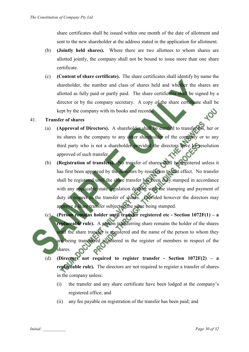share certificates shall be issued within one month of the date of allotment and sent to the new shareholder at the address stated in the application for allotment.

- (b) **(Jointly held shares).** Where there are two allottees to whom shares are allotted jointly, the company shall not be bound to issue more than one share certificate.
- (c) **(Content of share certificate).** The share certificates shall identify by name the shareholder, the number and class of shares held and whether the shares are allotted as fully paid or partly paid. The share certificates shall be signed by a director or by the company secretary. A copy of the share certificate shall be kept by the company with its books and records.

## 41. **Transfer of shares**

- (a) **(Approval of Directors).** A shareholder shall be entitled to transfer his, her or its shares in the company to any other shareholder of the company or to any third party who is not a shareholder provided the directors have by resolution approved of such transfer.
- (b) **(Registration of transfers).** No transfer of shares shall be registered unless it has first been approved by the directors by resolution to that effect. No transfer shall be registered until the share transfer has been duly stamped in accordance with any applicable state legislation dealing with the stamping and payment of duty in respect to the transfer of shares. Provided however the directors may approve a share transfer subject to the same being stamped.
- (c) **(Person remains holder until transfer registered etc Section 1072F(1) a replaceable rule).** A person transferring share remains the holder of the shares until the share transfer is registered and the name of the person to whom they are being transferred is entered in the register of members in respect of the shares.
- (d) **(Directors not required to register transfer Section 1072F(2) a replaceable rule).** The directors are not required to register a transfer of shares in the company unless:
	- (i) the transfer and any share certificate have been lodged at the company's registered office; and
	- (ii) any fee payable on registration of the transfer has been paid; and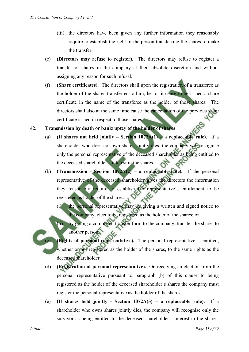- (iii) the directors have been given any further information they reasonably require to establish the right of the person transferring the shares to make the transfer.
- (e) **(Directors may refuse to register).** The directors may refuse to register a transfer of shares in the company at their absolute discretion and without assigning any reason for such refusal.
- (f) **(Share certificates).** The directors shall upon the registration of a transferee as the holder of the shares transferred to him, her or it cause to be issued a share certificate in the name of the transferee as the holder of those shares. The directors shall also at the same time cause the cancellation of the previous share certificate issued in respect to those shares.

# 42. **Transmission by death or bankruptcy of the holder of shares**

- (a) **(If shares not held jointly Section 1072A(1) a replaceable rule).** If a shareholder who does not own shares jointly dies, the company will recognise only the personal representative of the deceased shareholder as being entitled to the deceased shareholder's interest in the shares.
- (b) **(Transmission Section 1072A(2) a replaceable rule).** If the personal representative of the deceased shareholder gives the directors the information they reasonably require to establish the representative's entitlement to be registered as holder of the shares:
	- (i) the personal representative may by giving a written and signed notice to the company, elect to be registered as the holder of the shares; or
	- (ii) by giving a completed transfer form to the company, transfer the shares to another person.

(Rights of personal representative). The personal representative is entitled, whether or not registered as the holder of the shares, to the same rights as the deceased shareholder.

- (d) **(Registration of personal representative).** On receiving an election from the personal representative pursuant to paragraph (b) of this clause to being registered as the holder of the deceased shareholder's shares the company must register the personal representative as the holder of the shares.
- (e) **(If shares held jointly Section 1072A(5) a replaceable rule).** If a shareholder who owns shares jointly dies, the company will recognise only the survivor as being entitled to the deceased shareholder's interest in the shares.